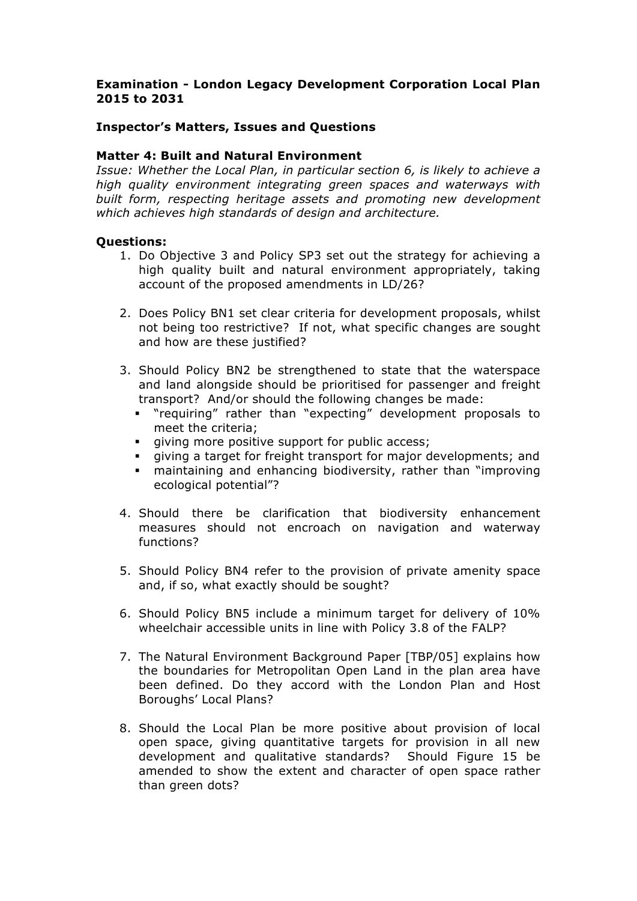## **Examination - London Legacy Development Corporation Local Plan 2015 to 2031**

### **Inspector's Matters, Issues and Questions**

### **Matter 4: Built and Natural Environment**

*Issue: Whether the Local Plan, in particular section 6, is likely to achieve a high quality environment integrating green spaces and waterways with built form, respecting heritage assets and promoting new development which achieves high standards of design and architecture.*

#### **Questions:**

- 1. Do Objective 3 and Policy SP3 set out the strategy for achieving a high quality built and natural environment appropriately, taking account of the proposed amendments in LD/26?
- 2. Does Policy BN1 set clear criteria for development proposals, whilst not being too restrictive? If not, what specific changes are sought and how are these justified?
- 3. Should Policy BN2 be strengthened to state that the waterspace and land alongside should be prioritised for passenger and freight transport? And/or should the following changes be made:
	- § "requiring" rather than "expecting" development proposals to meet the criteria;
	- giving more positive support for public access;
	- giving a target for freight transport for major developments; and
	- maintaining and enhancing biodiversity, rather than "improving ecological potential"?
- 4. Should there be clarification that biodiversity enhancement measures should not encroach on navigation and waterway functions?
- 5. Should Policy BN4 refer to the provision of private amenity space and, if so, what exactly should be sought?
- 6. Should Policy BN5 include a minimum target for delivery of 10% wheelchair accessible units in line with Policy 3.8 of the FALP?
- 7. The Natural Environment Background Paper [TBP/05] explains how the boundaries for Metropolitan Open Land in the plan area have been defined. Do they accord with the London Plan and Host Boroughs' Local Plans?
- 8. Should the Local Plan be more positive about provision of local open space, giving quantitative targets for provision in all new development and qualitative standards? Should Figure 15 be amended to show the extent and character of open space rather than green dots?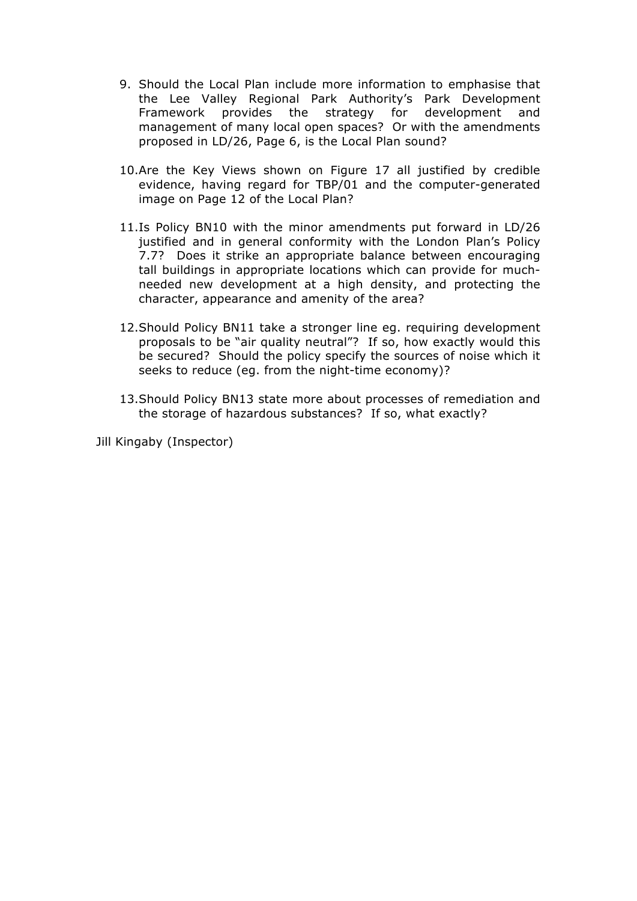- 9. Should the Local Plan include more information to emphasise that the Lee Valley Regional Park Authority's Park Development Framework provides the strategy for development and management of many local open spaces? Or with the amendments proposed in LD/26, Page 6, is the Local Plan sound?
- 10.Are the Key Views shown on Figure 17 all justified by credible evidence, having regard for TBP/01 and the computer-generated image on Page 12 of the Local Plan?
- 11.Is Policy BN10 with the minor amendments put forward in LD/26 justified and in general conformity with the London Plan's Policy 7.7? Does it strike an appropriate balance between encouraging tall buildings in appropriate locations which can provide for muchneeded new development at a high density, and protecting the character, appearance and amenity of the area?
- 12.Should Policy BN11 take a stronger line eg. requiring development proposals to be "air quality neutral"? If so, how exactly would this be secured? Should the policy specify the sources of noise which it seeks to reduce (eg. from the night-time economy)?
- 13.Should Policy BN13 state more about processes of remediation and the storage of hazardous substances? If so, what exactly?

Jill Kingaby (Inspector)